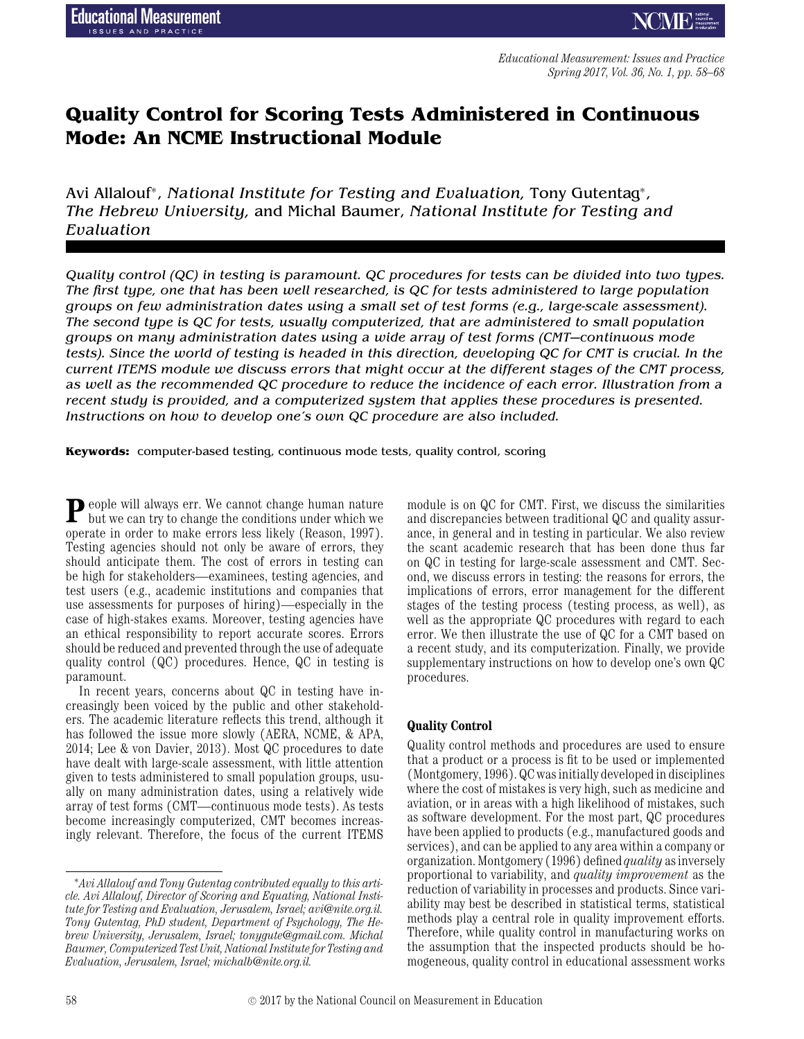# **Quality Control for Scoring Tests Administered in Continuous Mode: An NCME Instructional Module**

Avi Allalouf∗, *National Institute for Testing and Evaluation,* Tony Gutentag∗, *The Hebrew University,* and Michal Baumer, *National Institute for Testing and Evaluation*

*Quality control (QC) in testing is paramount. QC procedures for tests can be divided into two types. The first type, one that has been well researched, is QC for tests administered to large population groups on few administration dates using a small set of test forms (e.g., large-scale assessment). The second type is QC for tests, usually computerized, that are administered to small population groups on many administration dates using a wide array of test forms (CMT—continuous mode tests). Since the world of testing is headed in this direction, developing QC for CMT is crucial. In the current ITEMS module we discuss errors that might occur at the different stages of the CMT process, as well as the recommended QC procedure to reduce the incidence of each error. Illustration from a recent study is provided, and a computerized system that applies these procedures is presented. Instructions on how to develop one's own QC procedure are also included.*

**Keywords:** computer-based testing, continuous mode tests, quality control, scoring

People will always err. We cannot change human nature but we can try to change the conditions under which we operate in order to make errors less likely (Reason, 1997). Testing agencies should not only be aware of errors, they should anticipate them. The cost of errors in testing can be high for stakeholders—examinees, testing agencies, and test users (e.g., academic institutions and companies that use assessments for purposes of hiring)—especially in the case of high-stakes exams. Moreover, testing agencies have an ethical responsibility to report accurate scores. Errors should be reduced and prevented through the use of adequate quality control (QC) procedures. Hence, QC in testing is paramount.

In recent years, concerns about QC in testing have increasingly been voiced by the public and other stakeholders. The academic literature reflects this trend, although it has followed the issue more slowly (AERA, NCME, & APA, 2014; Lee & von Davier, 2013). Most QC procedures to date have dealt with large-scale assessment, with little attention given to tests administered to small population groups, usually on many administration dates, using a relatively wide array of test forms (CMT—continuous mode tests). As tests become increasingly computerized, CMT becomes increasingly relevant. Therefore, the focus of the current ITEMS

module is on QC for CMT. First, we discuss the similarities and discrepancies between traditional QC and quality assurance, in general and in testing in particular. We also review the scant academic research that has been done thus far on QC in testing for large-scale assessment and CMT. Second, we discuss errors in testing: the reasons for errors, the implications of errors, error management for the different stages of the testing process (testing process, as well), as well as the appropriate QC procedures with regard to each error. We then illustrate the use of QC for a CMT based on a recent study, and its computerization. Finally, we provide supplementary instructions on how to develop one's own QC procedures.

# **Quality Control**

Quality control methods and procedures are used to ensure that a product or a process is fit to be used or implemented (Montgomery, 1996). QC was initially developed in disciplines where the cost of mistakes is very high, such as medicine and aviation, or in areas with a high likelihood of mistakes, such as software development. For the most part, QC procedures have been applied to products (e.g., manufactured goods and services), and can be applied to any area within a company or organization. Montgomery (1996) defined *quality* as inversely proportional to variability, and *quality improvement* as the reduction of variability in processes and products. Since variability may best be described in statistical terms, statistical methods play a central role in quality improvement efforts. Therefore, while quality control in manufacturing works on the assumption that the inspected products should be homogeneous, quality control in educational assessment works

<sup>∗</sup>*Avi Allalouf and Tony Gutentag contributed equally to this article. Avi Allalouf, Director of Scoring and Equating, National Institute for Testing and Evaluation, Jerusalem, Israel; avi@nite.org.il. Tony Gutentag, PhD student, Department of Psychology, The Hebrew University, Jerusalem, Israel; tonygute@gmail.com. Michal Baumer, Computerized Test Unit, National Institute for Testing and Evaluation, Jerusalem, Israel; michalb@nite.org.il.*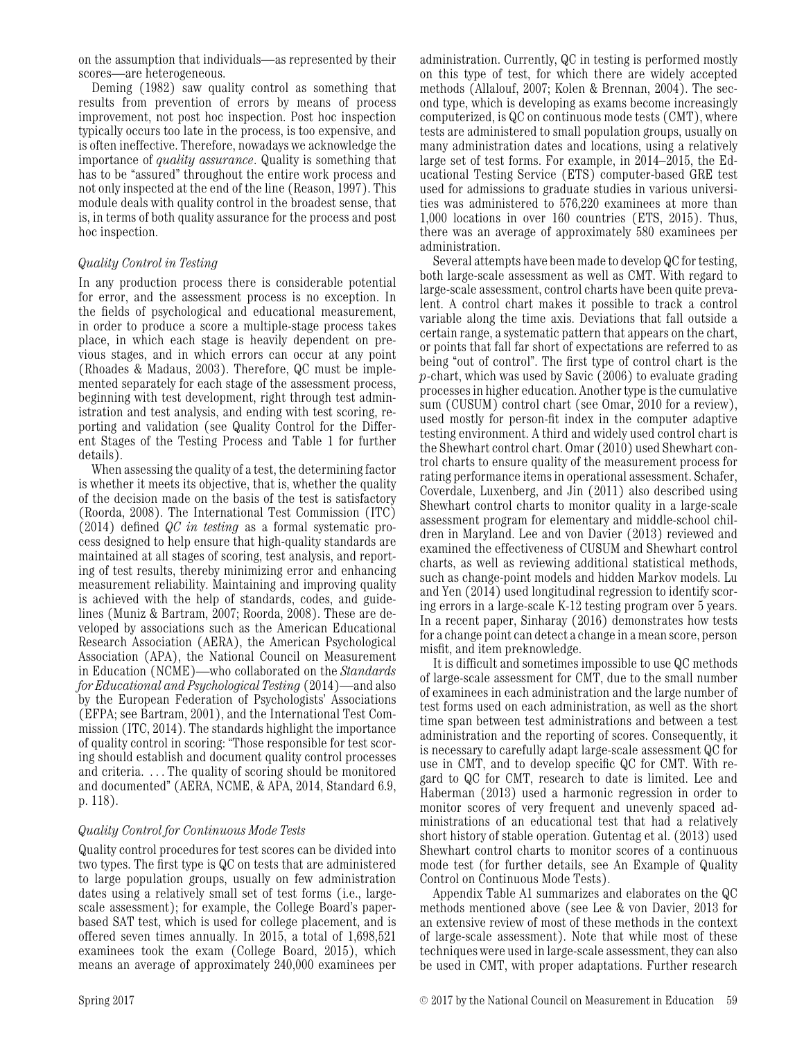on the assumption that individuals—as represented by their scores—are heterogeneous.

Deming (1982) saw quality control as something that results from prevention of errors by means of process improvement, not post hoc inspection. Post hoc inspection typically occurs too late in the process, is too expensive, and is often ineffective. Therefore, nowadays we acknowledge the importance of *quality assurance*. Quality is something that has to be "assured" throughout the entire work process and not only inspected at the end of the line (Reason, 1997). This module deals with quality control in the broadest sense, that is, in terms of both quality assurance for the process and post hoc inspection.

# *Quality Control in Testing*

In any production process there is considerable potential for error, and the assessment process is no exception. In the fields of psychological and educational measurement, in order to produce a score a multiple-stage process takes place, in which each stage is heavily dependent on previous stages, and in which errors can occur at any point (Rhoades & Madaus, 2003). Therefore, QC must be implemented separately for each stage of the assessment process, beginning with test development, right through test administration and test analysis, and ending with test scoring, reporting and validation (see Quality Control for the Different Stages of the Testing Process and Table 1 for further details).

When assessing the quality of a test, the determining factor is whether it meets its objective, that is, whether the quality of the decision made on the basis of the test is satisfactory (Roorda, 2008). The International Test Commission (ITC) (2014) defined *QC in testing* as a formal systematic process designed to help ensure that high-quality standards are maintained at all stages of scoring, test analysis, and reporting of test results, thereby minimizing error and enhancing measurement reliability. Maintaining and improving quality is achieved with the help of standards, codes, and guidelines (Muniz & Bartram, 2007; Roorda, 2008). These are developed by associations such as the American Educational Research Association (AERA), the American Psychological Association (APA), the National Council on Measurement in Education (NCME)—who collaborated on the *Standards for Educational and Psychological Testing* (2014)—and also by the European Federation of Psychologists' Associations (EFPA; see Bartram, 2001), and the International Test Commission (ITC, 2014). The standards highlight the importance of quality control in scoring: "Those responsible for test scoring should establish and document quality control processes and criteria. . . . The quality of scoring should be monitored and documented" (AERA, NCME, & APA, 2014, Standard 6.9, p. 118).

# *Quality Control for Continuous Mode Tests*

Quality control procedures for test scores can be divided into two types. The first type is QC on tests that are administered to large population groups, usually on few administration dates using a relatively small set of test forms (i.e., largescale assessment); for example, the College Board's paperbased SAT test, which is used for college placement, and is offered seven times annually. In 2015, a total of 1,698,521 examinees took the exam (College Board, 2015), which means an average of approximately 240,000 examinees per

administration. Currently, QC in testing is performed mostly on this type of test, for which there are widely accepted methods (Allalouf, 2007; Kolen & Brennan, 2004). The second type, which is developing as exams become increasingly computerized, is QC on continuous mode tests (CMT), where tests are administered to small population groups, usually on many administration dates and locations, using a relatively large set of test forms. For example, in 2014–2015, the Educational Testing Service (ETS) computer-based GRE test used for admissions to graduate studies in various universities was administered to 576,220 examinees at more than 1,000 locations in over 160 countries (ETS, 2015). Thus, there was an average of approximately 580 examinees per administration.

Several attempts have been made to develop QC for testing, both large-scale assessment as well as CMT. With regard to large-scale assessment, control charts have been quite prevalent. A control chart makes it possible to track a control variable along the time axis. Deviations that fall outside a certain range, a systematic pattern that appears on the chart, or points that fall far short of expectations are referred to as being "out of control". The first type of control chart is the *p*-chart, which was used by Savic (2006) to evaluate grading processes in higher education. Another type is the cumulative sum (CUSUM) control chart (see Omar, 2010 for a review), used mostly for person-fit index in the computer adaptive testing environment. A third and widely used control chart is the Shewhart control chart. Omar (2010) used Shewhart control charts to ensure quality of the measurement process for rating performance items in operational assessment. Schafer, Coverdale, Luxenberg, and Jin (2011) also described using Shewhart control charts to monitor quality in a large-scale assessment program for elementary and middle-school children in Maryland. Lee and von Davier (2013) reviewed and examined the effectiveness of CUSUM and Shewhart control charts, as well as reviewing additional statistical methods, such as change-point models and hidden Markov models. Lu and Yen (2014) used longitudinal regression to identify scoring errors in a large-scale K-12 testing program over 5 years. In a recent paper, Sinharay (2016) demonstrates how tests for a change point can detect a change in a mean score, person misfit, and item preknowledge.

It is difficult and sometimes impossible to use QC methods of large-scale assessment for CMT, due to the small number of examinees in each administration and the large number of test forms used on each administration, as well as the short time span between test administrations and between a test administration and the reporting of scores. Consequently, it is necessary to carefully adapt large-scale assessment QC for use in CMT, and to develop specific QC for CMT. With regard to QC for CMT, research to date is limited. Lee and Haberman (2013) used a harmonic regression in order to monitor scores of very frequent and unevenly spaced administrations of an educational test that had a relatively short history of stable operation. Gutentag et al. (2013) used Shewhart control charts to monitor scores of a continuous mode test (for further details, see An Example of Quality Control on Continuous Mode Tests).

Appendix Table A1 summarizes and elaborates on the QC methods mentioned above (see Lee & von Davier, 2013 for an extensive review of most of these methods in the context of large-scale assessment). Note that while most of these techniques were used in large-scale assessment, they can also be used in CMT, with proper adaptations. Further research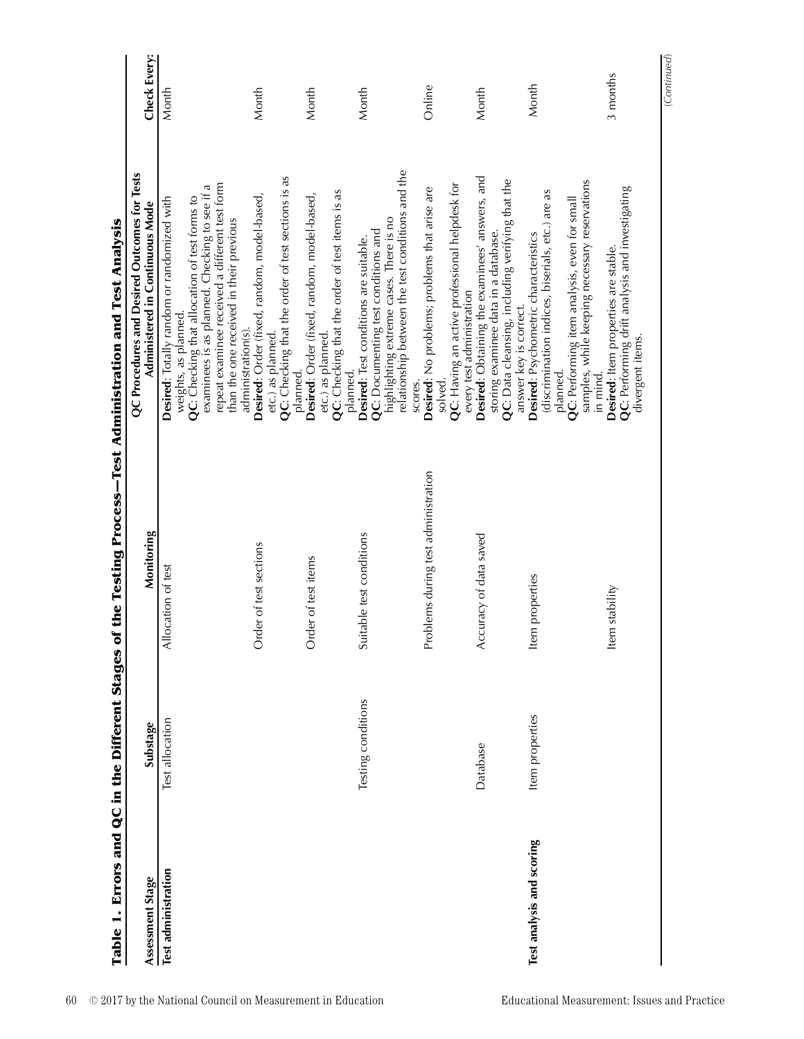| i                         | chine alla final   | <b>Allows Alliance Designals</b>    | <b>The financy of</b><br>こうこうしょう<br> <br> <br> <br>                                                                                                                                                                                                                                            |              |
|---------------------------|--------------------|-------------------------------------|------------------------------------------------------------------------------------------------------------------------------------------------------------------------------------------------------------------------------------------------------------------------------------------------|--------------|
| Assessment Stage          | Substage           | Monitoring                          | QC Procedures and Desired Outcomes for Tests<br>Administered in Continuous Mode                                                                                                                                                                                                                | Check Every: |
| Test administration       | Test allocation    | Allocation of test                  | repeat examinee received a different test form<br>examinees is as planned. Checking to see if a<br>QC: Checking that allocation of test forms to<br><b>Desired:</b> Totally random or randomized with<br>than the one received in their previous<br>weights, as planned.<br>administration(s). | Month        |
|                           |                    | Order of test sections              | QC: Checking that the order of test sections is as<br><b>Desired:</b> Order (fixed, random, model-based,<br>etc.) as planned.<br>planned.                                                                                                                                                      | Month        |
|                           |                    | Order of test items                 | QC: Checking that the order of test items is as<br>Desired: Order (fixed, random, model-based,<br>etc.) as planned.<br>planned.                                                                                                                                                                | Month        |
|                           | Testing conditions | Suitable test conditions            | relationship between the test conditions and the<br>highlighting extreme cases. There is no<br><b>QC:</b> Documenting test conditions and<br>Desired: Test conditions are suitable.<br>scores.                                                                                                 | Month        |
|                           |                    | Problems during test administration | QC: Having an active professional helpdesk for<br>Desired: No problems; problems that arise are<br>every test administration<br>solved.                                                                                                                                                        | Online       |
|                           | Database           | Accuracy of data saved              | Desired: Obtaining the examinees' answers, and<br>QC: Data cleansing, including verifying that the<br>storing examinee data in a database.<br>answer key is correct.                                                                                                                           | Month        |
| Test analysis and scoring | Item properties    | Item properties                     | samples, while keeping necessary reservations<br>(discrimination indices, biserials, etc.) are as<br>$\overline{\bf Q} {\bf C}$ : Performing item analysis, even for small<br>Desired: Psychometric characteristics<br>planned.<br>in mind.                                                    | Month        |
|                           |                    | Item stability                      | <b>QC</b> : Performing drift analysis and investigating<br>Desired: Item properties are stable.<br>divergent items.                                                                                                                                                                            | 3 months     |

Table 1. Errors and QC in the Different Stages of the Testing Process-Test Administration and Test Analysis Table 1. Errors and QC in the Different Stages of the Testing Process—Test Administration and Test Analysis

(*Continued*)

(Continued)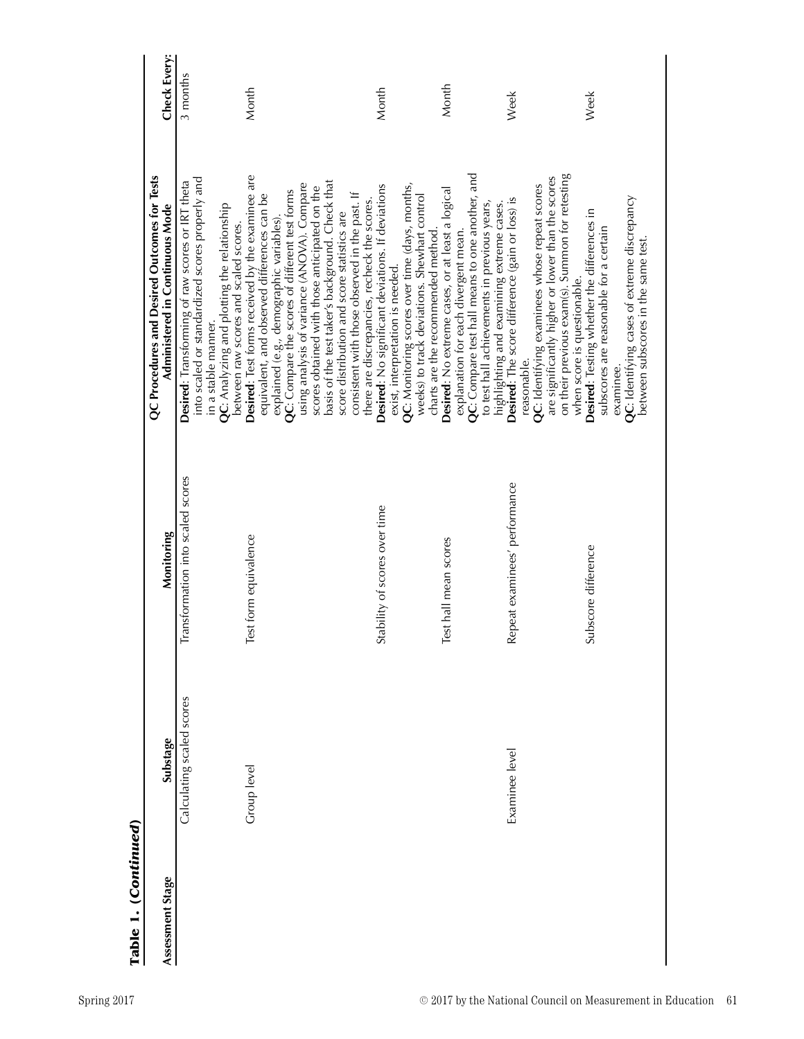| Assessment Stage | Substage                  | Monitoring                       | QC Procedures and Desired Outcomes for Tests<br>Administered in Continuous Mode                                                                                                                                                                                                                                                                                                                                                                                                                   | Check Every: |
|------------------|---------------------------|----------------------------------|---------------------------------------------------------------------------------------------------------------------------------------------------------------------------------------------------------------------------------------------------------------------------------------------------------------------------------------------------------------------------------------------------------------------------------------------------------------------------------------------------|--------------|
|                  | Calculating scaled scores | ransformation into scaled scores | into scaled or standardized scores properly and<br>Desired: Transforming of raw scores or IRT theta<br>QC: Analyzing and plotting the relationship<br>between raw scores and scaled scores.<br>in a stable manner.                                                                                                                                                                                                                                                                                | 3 months     |
|                  | Group level               | est form equivalence             | Desired: Test forms received by the examinee are<br>basis of the test taker's background. Check that<br>using analysis of variance (ANOVA). Compare<br>scores obtained with those anticipated on the<br>QC: Compare the scores of different test forms<br>consistent with those observed in the past. If<br>equivalent, and observed differences can be<br>there are discrepancies, recheck the scores.<br>score distribution and score statistics are<br>explained (e.g., demographic variables) | Month        |
|                  |                           | Stability of scores over time    | <b>QC:</b> Monitoring scores over time (days, months,<br>Desired: No significant deviations. If deviations<br>weeks) to track deviations. Shewhart control<br>exist, interpretation is needed.                                                                                                                                                                                                                                                                                                    | Month        |
|                  |                           | est hall mean scores             | QC: Compare test hall means to one another, and<br>Desired: No extreme cases, or at least a logical<br>to test hall achievements in previous years,<br>explanation for each divergent mean.<br>charts are the recommended method                                                                                                                                                                                                                                                                  | Month        |
|                  | Examinee level            | Repeat examinees' performance    | on their previous exam(s). Summon for retesting<br>are significantly higher or lower than the scores<br>QC: Identifying examinees whose repeat scores<br>Desired: The score difference (gain or loss) is<br>highlighting and examining extreme cases.<br>reasonable.                                                                                                                                                                                                                              | Week         |
|                  |                           | Subscore difference              | $\overline{\bf Q}$ C: Identifying cases of extreme discrepancy<br>Desired: Testing whether the differences in<br>subscores are reasonable for a certain<br>between subscores in the same test.<br>when score is questionable.<br>examinee.                                                                                                                                                                                                                                                        | Week         |

Table 1. (Continued) **Table 1. (***Continued***)**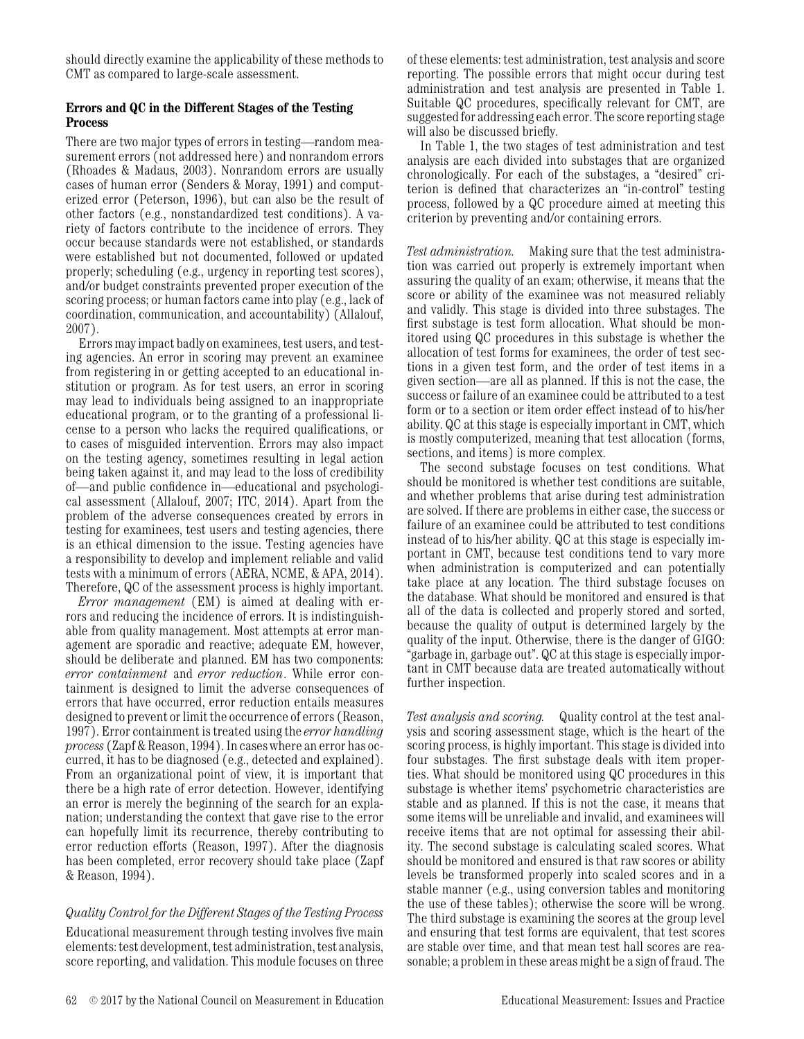should directly examine the applicability of these methods to CMT as compared to large-scale assessment.

#### **Errors and QC in the Different Stages of the Testing Process**

There are two major types of errors in testing—random measurement errors (not addressed here) and nonrandom errors (Rhoades & Madaus, 2003). Nonrandom errors are usually cases of human error (Senders & Moray, 1991) and computerized error (Peterson, 1996), but can also be the result of other factors (e.g., nonstandardized test conditions). A variety of factors contribute to the incidence of errors. They occur because standards were not established, or standards were established but not documented, followed or updated properly; scheduling (e.g., urgency in reporting test scores), and/or budget constraints prevented proper execution of the scoring process; or human factors came into play (e.g., lack of coordination, communication, and accountability) (Allalouf, 2007).

Errors may impact badly on examinees, test users, and testing agencies. An error in scoring may prevent an examinee from registering in or getting accepted to an educational institution or program. As for test users, an error in scoring may lead to individuals being assigned to an inappropriate educational program, or to the granting of a professional license to a person who lacks the required qualifications, or to cases of misguided intervention. Errors may also impact on the testing agency, sometimes resulting in legal action being taken against it, and may lead to the loss of credibility of—and public confidence in—educational and psychological assessment (Allalouf, 2007; ITC, 2014). Apart from the problem of the adverse consequences created by errors in testing for examinees, test users and testing agencies, there is an ethical dimension to the issue. Testing agencies have a responsibility to develop and implement reliable and valid tests with a minimum of errors (AERA, NCME, & APA, 2014). Therefore, QC of the assessment process is highly important.

*Error management* (EM) is aimed at dealing with errors and reducing the incidence of errors. It is indistinguishable from quality management. Most attempts at error management are sporadic and reactive; adequate EM, however, should be deliberate and planned. EM has two components: *error containment* and *error reduction*. While error containment is designed to limit the adverse consequences of errors that have occurred, error reduction entails measures designed to prevent or limit the occurrence of errors (Reason, 1997). Error containment is treated using the *error handling process* (Zapf & Reason, 1994). In cases where an error has occurred, it has to be diagnosed (e.g., detected and explained). From an organizational point of view, it is important that there be a high rate of error detection. However, identifying an error is merely the beginning of the search for an explanation; understanding the context that gave rise to the error can hopefully limit its recurrence, thereby contributing to error reduction efforts (Reason, 1997). After the diagnosis has been completed, error recovery should take place (Zapf & Reason, 1994).

# *Quality Control for the Different Stages of the Testing Process*

Educational measurement through testing involves five main elements: test development, test administration, test analysis, score reporting, and validation. This module focuses on three

of these elements: test administration, test analysis and score reporting. The possible errors that might occur during test administration and test analysis are presented in Table 1. Suitable QC procedures, specifically relevant for CMT, are suggested for addressing each error. The score reporting stage will also be discussed briefly.

In Table 1, the two stages of test administration and test analysis are each divided into substages that are organized chronologically. For each of the substages, a "desired" criterion is defined that characterizes an "in-control" testing process, followed by a QC procedure aimed at meeting this criterion by preventing and/or containing errors.

*Test administration.* Making sure that the test administration was carried out properly is extremely important when assuring the quality of an exam; otherwise, it means that the score or ability of the examinee was not measured reliably and validly. This stage is divided into three substages. The first substage is test form allocation. What should be monitored using QC procedures in this substage is whether the allocation of test forms for examinees, the order of test sections in a given test form, and the order of test items in a given section—are all as planned. If this is not the case, the success or failure of an examinee could be attributed to a test form or to a section or item order effect instead of to his/her ability. QC at this stage is especially important in CMT, which is mostly computerized, meaning that test allocation (forms, sections, and items) is more complex.

The second substage focuses on test conditions. What should be monitored is whether test conditions are suitable, and whether problems that arise during test administration are solved. If there are problems in either case, the success or failure of an examinee could be attributed to test conditions instead of to his/her ability. QC at this stage is especially important in CMT, because test conditions tend to vary more when administration is computerized and can potentially take place at any location. The third substage focuses on the database. What should be monitored and ensured is that all of the data is collected and properly stored and sorted, because the quality of output is determined largely by the quality of the input. Otherwise, there is the danger of GIGO: "garbage in, garbage out". QC at this stage is especially important in CMT because data are treated automatically without further inspection.

*Test analysis and scoring.* Quality control at the test analysis and scoring assessment stage, which is the heart of the scoring process, is highly important. This stage is divided into four substages. The first substage deals with item properties. What should be monitored using QC procedures in this substage is whether items' psychometric characteristics are stable and as planned. If this is not the case, it means that some items will be unreliable and invalid, and examinees will receive items that are not optimal for assessing their ability. The second substage is calculating scaled scores. What should be monitored and ensured is that raw scores or ability levels be transformed properly into scaled scores and in a stable manner (e.g., using conversion tables and monitoring the use of these tables); otherwise the score will be wrong. The third substage is examining the scores at the group level and ensuring that test forms are equivalent, that test scores are stable over time, and that mean test hall scores are reasonable; a problem in these areas might be a sign of fraud. The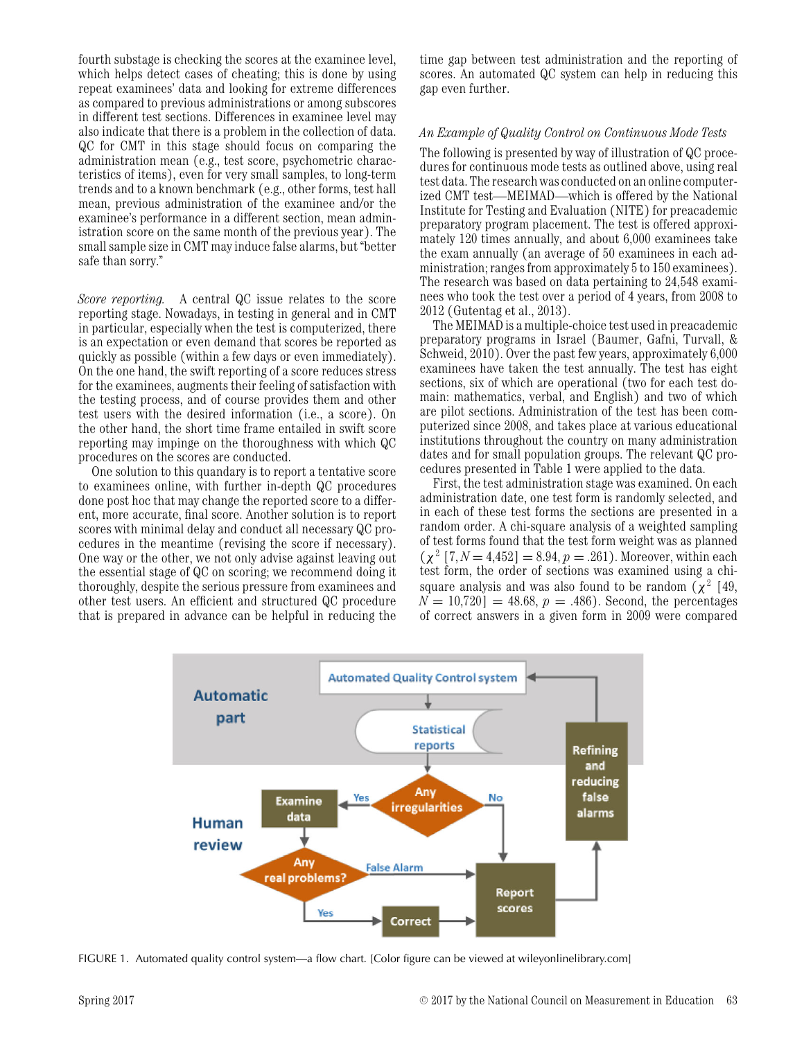fourth substage is checking the scores at the examinee level, which helps detect cases of cheating; this is done by using repeat examinees' data and looking for extreme differences as compared to previous administrations or among subscores in different test sections. Differences in examinee level may also indicate that there is a problem in the collection of data. QC for CMT in this stage should focus on comparing the administration mean (e.g., test score, psychometric characteristics of items), even for very small samples, to long-term trends and to a known benchmark (e.g., other forms, test hall mean, previous administration of the examinee and/or the examinee's performance in a different section, mean administration score on the same month of the previous year). The small sample size in CMT may induce false alarms, but "better safe than sorry."

*Score reporting.* A central QC issue relates to the score reporting stage. Nowadays, in testing in general and in CMT in particular, especially when the test is computerized, there is an expectation or even demand that scores be reported as quickly as possible (within a few days or even immediately). On the one hand, the swift reporting of a score reduces stress for the examinees, augments their feeling of satisfaction with the testing process, and of course provides them and other test users with the desired information (i.e., a score). On the other hand, the short time frame entailed in swift score reporting may impinge on the thoroughness with which QC procedures on the scores are conducted.

One solution to this quandary is to report a tentative score to examinees online, with further in-depth QC procedures done post hoc that may change the reported score to a different, more accurate, final score. Another solution is to report scores with minimal delay and conduct all necessary QC procedures in the meantime (revising the score if necessary). One way or the other, we not only advise against leaving out the essential stage of QC on scoring; we recommend doing it thoroughly, despite the serious pressure from examinees and other test users. An efficient and structured QC procedure that is prepared in advance can be helpful in reducing the

time gap between test administration and the reporting of scores. An automated QC system can help in reducing this gap even further.

#### *An Example of Quality Control on Continuous Mode Tests*

The following is presented by way of illustration of QC procedures for continuous mode tests as outlined above, using real test data. The research was conducted on an online computerized CMT test—MEIMAD—which is offered by the National Institute for Testing and Evaluation (NITE) for preacademic preparatory program placement. The test is offered approximately 120 times annually, and about 6,000 examinees take the exam annually (an average of 50 examinees in each administration; ranges from approximately 5 to 150 examinees). The research was based on data pertaining to 24,548 examinees who took the test over a period of 4 years, from 2008 to 2012 (Gutentag et al., 2013).

The MEIMAD is a multiple-choice test used in preacademic preparatory programs in Israel (Baumer, Gafni, Turvall, & Schweid, 2010). Over the past few years, approximately 6,000 examinees have taken the test annually. The test has eight sections, six of which are operational (two for each test domain: mathematics, verbal, and English) and two of which are pilot sections. Administration of the test has been computerized since 2008, and takes place at various educational institutions throughout the country on many administration dates and for small population groups. The relevant QC procedures presented in Table 1 were applied to the data.

First, the test administration stage was examined. On each administration date, one test form is randomly selected, and in each of these test forms the sections are presented in a random order. A chi-square analysis of a weighted sampling of test forms found that the test form weight was as planned  $(\chi^2 [7, N = 4,452] = 8.94, p = .261)$ . Moreover, within each test form, the order of sections was examined using a chisquare analysis and was also found to be random ( $\chi^2$  [49,  $N = 10,720$  = 48.68,  $p = .486$ ). Second, the percentages of correct answers in a given form in 2009 were compared



FIGURE 1. Automated quality control system—a flow chart. [Color figure can be viewed at wileyonlinelibrary.com]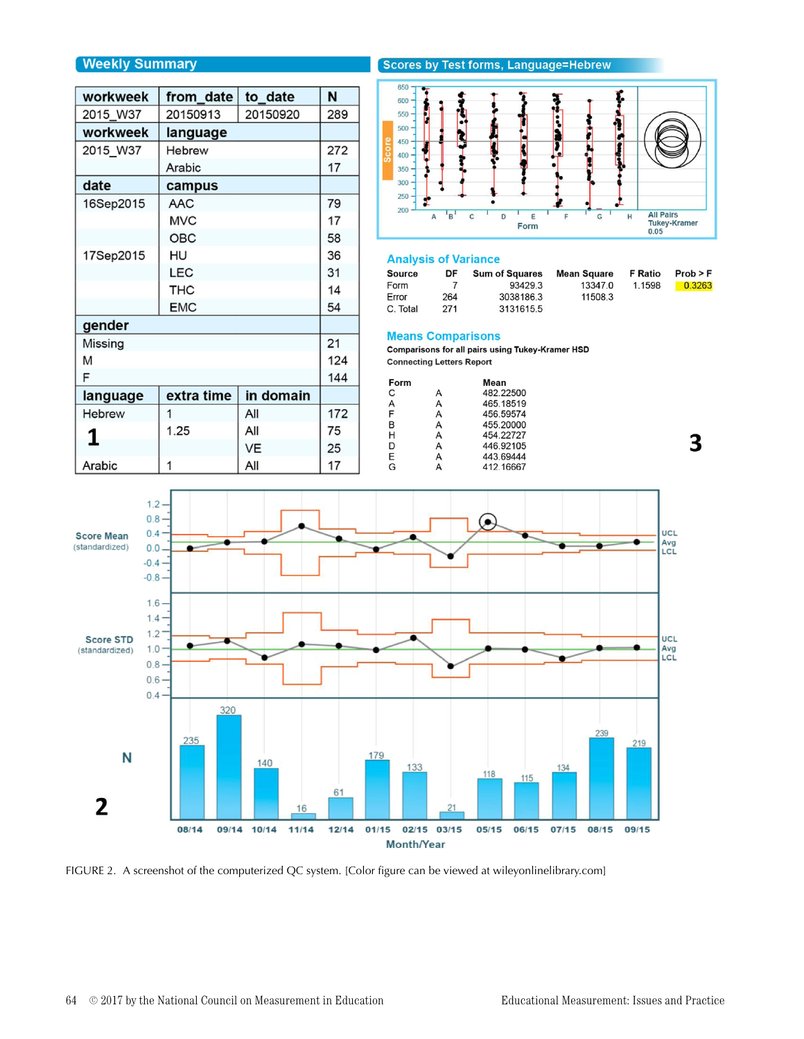# **Weekly Summary**

| workweek  | from date  | to date   | N   |
|-----------|------------|-----------|-----|
| 2015_W37  | 20150913   | 289       |     |
| workweek  | language   |           |     |
| 2015_W37  | Hebrew     |           | 272 |
|           | Arabic     |           | 17  |
| date      | campus     |           |     |
| 16Sep2015 | <b>AAC</b> |           | 79  |
|           | <b>MVC</b> |           | 17  |
|           | OBC        |           | 58  |
| 17Sep2015 | HU         |           | 36  |
|           | LEC        |           | 31  |
|           | THC        |           | 14  |
|           | EMC        |           | 54  |
| gender    |            |           |     |
| Missing   |            |           |     |
| M         | 124        |           |     |
| F         |            |           | 144 |
| language  | extra time | in domain |     |
| Hebrew    | 1          | All       | 172 |
| 1         | 1.25       | All       | 75  |
|           |            | VE        | 25  |
| Arabic    | 1          | All       | 17  |

# Scores by Test forms, Language=Hebrew



#### **Analysis of Variance**

| <b>Source</b> | DF  | <b>Sum of Squares</b> | <b>Mean Square</b> | <b>F</b> Ratio | Prob > F |
|---------------|-----|-----------------------|--------------------|----------------|----------|
| Form          |     | 93429.3               | 13347.0            | 1.1598         | 0.3263   |
| Error         | 264 | 3038186.3             | 11508.3            |                |          |
| C. Total      | 271 | 3131615.5             |                    |                |          |

#### **Means Comparisons**

Comparisons for all pairs using Tukey-Kramer HSD **Connecting Letters Report** 

| Form |   | Mean      |
|------|---|-----------|
| C    | А | 482.22500 |
| А    | A | 465.18519 |
| F    | А | 456.59574 |
| B    | А | 455.20000 |
| Н    | А | 454.22727 |
| D    | А | 446.92105 |
| E    | А | 443.69444 |
| Ġ    | Δ | 412.16667 |
|      |   |           |

3



FIGURE 2. A screenshot of the computerized QC system. [Color figure can be viewed at wileyonlinelibrary.com]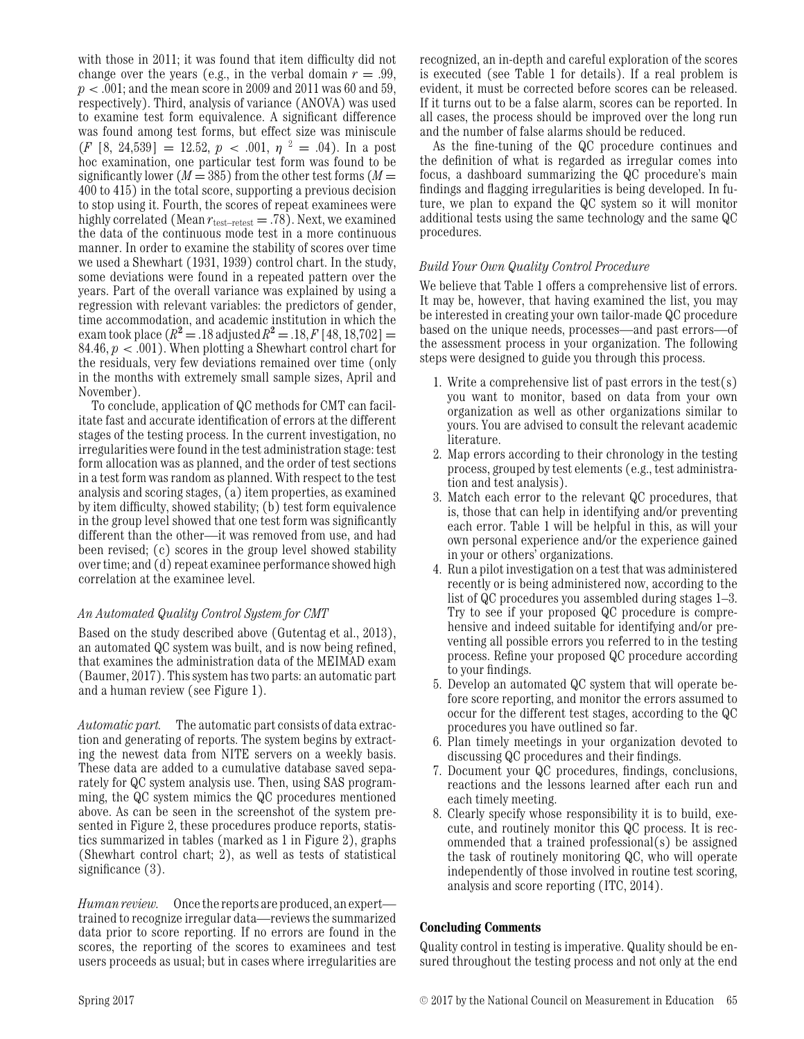with those in 2011; it was found that item difficulty did not change over the years (e.g., in the verbal domain  $r = .99$ ,  $p < .001$ ; and the mean score in 2009 and 2011 was 60 and 59, respectively). Third, analysis of variance (ANOVA) was used to examine test form equivalence. A significant difference was found among test forms, but effect size was miniscule  $(F [8, 24, 539] = 12.52, p < .001, \eta^{2} = .04)$ . In a post hoc examination, one particular test form was found to be significantly lower ( $M = 385$ ) from the other test forms ( $M =$ 400 to 415) in the total score, supporting a previous decision to stop using it. Fourth, the scores of repeat examinees were highly correlated (Mean  $r_{\text{test–retest}} = .78$ ). Next, we examined the data of the continuous mode test in a more continuous manner. In order to examine the stability of scores over time we used a Shewhart (1931, 1939) control chart. In the study, some deviations were found in a repeated pattern over the years. Part of the overall variance was explained by using a regression with relevant variables: the predictors of gender, time accommodation, and academic institution in which the exam took place  $(R^2 = .18 \text{ adjusted } R^2 = .18, F$  [48, 18,702] = 84.46,  $p < .001$ ). When plotting a Shewhart control chart for the residuals, very few deviations remained over time (only in the months with extremely small sample sizes, April and November).

To conclude, application of QC methods for CMT can facilitate fast and accurate identification of errors at the different stages of the testing process. In the current investigation, no irregularities were found in the test administration stage: test form allocation was as planned, and the order of test sections in a test form was random as planned. With respect to the test analysis and scoring stages, (a) item properties, as examined by item difficulty, showed stability; (b) test form equivalence in the group level showed that one test form was significantly different than the other—it was removed from use, and had been revised; (c) scores in the group level showed stability over time; and (d) repeat examinee performance showed high correlation at the examinee level.

# *An Automated Quality Control System for CMT*

Based on the study described above (Gutentag et al., 2013), an automated QC system was built, and is now being refined, that examines the administration data of the MEIMAD exam (Baumer, 2017). This system has two parts: an automatic part and a human review (see Figure 1).

*Automatic part.* The automatic part consists of data extraction and generating of reports. The system begins by extracting the newest data from NITE servers on a weekly basis. These data are added to a cumulative database saved separately for QC system analysis use. Then, using SAS programming, the QC system mimics the QC procedures mentioned above. As can be seen in the screenshot of the system presented in Figure 2, these procedures produce reports, statistics summarized in tables (marked as 1 in Figure 2), graphs (Shewhart control chart; 2), as well as tests of statistical significance  $(3)$ .

*Human review.* Once the reports are produced, an expert trained to recognize irregular data—reviews the summarized data prior to score reporting. If no errors are found in the scores, the reporting of the scores to examinees and test users proceeds as usual; but in cases where irregularities are

recognized, an in-depth and careful exploration of the scores is executed (see Table 1 for details). If a real problem is evident, it must be corrected before scores can be released. If it turns out to be a false alarm, scores can be reported. In all cases, the process should be improved over the long run and the number of false alarms should be reduced.

As the fine-tuning of the QC procedure continues and the definition of what is regarded as irregular comes into focus, a dashboard summarizing the QC procedure's main findings and flagging irregularities is being developed. In future, we plan to expand the QC system so it will monitor additional tests using the same technology and the same QC procedures.

# *Build Your Own Quality Control Procedure*

We believe that Table 1 offers a comprehensive list of errors. It may be, however, that having examined the list, you may be interested in creating your own tailor-made QC procedure based on the unique needs, processes—and past errors—of the assessment process in your organization. The following steps were designed to guide you through this process.

- 1. Write a comprehensive list of past errors in the test(s) you want to monitor, based on data from your own organization as well as other organizations similar to yours. You are advised to consult the relevant academic literature.
- 2. Map errors according to their chronology in the testing process, grouped by test elements (e.g., test administration and test analysis).
- 3. Match each error to the relevant QC procedures, that is, those that can help in identifying and/or preventing each error. Table 1 will be helpful in this, as will your own personal experience and/or the experience gained in your or others' organizations.
- 4. Run a pilot investigation on a test that was administered recently or is being administered now, according to the list of QC procedures you assembled during stages 1–3. Try to see if your proposed QC procedure is comprehensive and indeed suitable for identifying and/or preventing all possible errors you referred to in the testing process. Refine your proposed QC procedure according to your findings.
- 5. Develop an automated QC system that will operate before score reporting, and monitor the errors assumed to occur for the different test stages, according to the QC procedures you have outlined so far.
- 6. Plan timely meetings in your organization devoted to discussing QC procedures and their findings.
- 7. Document your QC procedures, findings, conclusions, reactions and the lessons learned after each run and each timely meeting.
- 8. Clearly specify whose responsibility it is to build, execute, and routinely monitor this QC process. It is recommended that a trained professional(s) be assigned the task of routinely monitoring QC, who will operate independently of those involved in routine test scoring, analysis and score reporting (ITC, 2014).

# **Concluding Comments**

Quality control in testing is imperative. Quality should be ensured throughout the testing process and not only at the end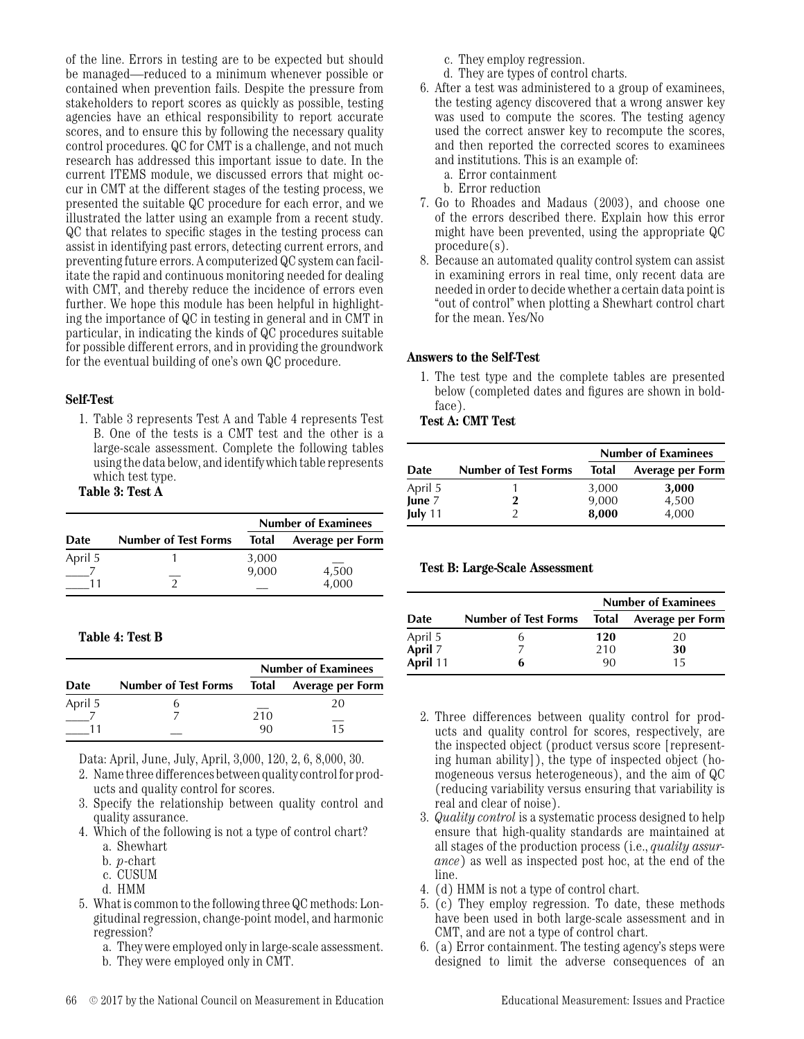of the line. Errors in testing are to be expected but should be managed—reduced to a minimum whenever possible or contained when prevention fails. Despite the pressure from stakeholders to report scores as quickly as possible, testing agencies have an ethical responsibility to report accurate scores, and to ensure this by following the necessary quality control procedures. QC for CMT is a challenge, and not much research has addressed this important issue to date. In the current ITEMS module, we discussed errors that might occur in CMT at the different stages of the testing process, we presented the suitable QC procedure for each error, and we illustrated the latter using an example from a recent study. QC that relates to specific stages in the testing process can assist in identifying past errors, detecting current errors, and preventing future errors. A computerized QC system can facilitate the rapid and continuous monitoring needed for dealing with CMT, and thereby reduce the incidence of errors even further. We hope this module has been helpful in highlighting the importance of QC in testing in general and in CMT in particular, in indicating the kinds of QC procedures suitable for possible different errors, and in providing the groundwork for the eventual building of one's own QC procedure.

#### **Self-Test**

1. Table 3 represents Test A and Table 4 represents Test B. One of the tests is a CMT test and the other is a large-scale assessment. Complete the following tables using the data below, and identify which table represents which test type.

**Table 3: Test A**

|         |                             |              | <b>Number of Examinees</b> |
|---------|-----------------------------|--------------|----------------------------|
| Date    | <b>Number of Test Forms</b> | <b>Total</b> | Average per Form           |
| April 5 |                             | 3,000        |                            |
|         |                             | 9,000        | 4,500                      |
|         |                             |              | 4.000                      |

**Table 4: Test B**

|         |                             |     | <b>Number of Examinees</b> |
|---------|-----------------------------|-----|----------------------------|
| Date    | <b>Number of Test Forms</b> |     | Total Average per Form     |
| April 5 |                             |     | 20                         |
|         |                             | 210 |                            |
|         |                             | 90  | 15                         |

Data: April, June, July, April, 3,000, 120, 2, 6, 8,000, 30.

- 2. Name three differences between quality controlfor products and quality control for scores.
- 3. Specify the relationship between quality control and quality assurance.
- 4. Which of the following is not a type of control chart?
	- a. Shewhart
	- b. *p*-chart
	- c. CUSUM
	- d. HMM
- 5. What is common to the following three QC methods: Longitudinal regression, change-point model, and harmonic regression?
	- a. They were employed only in large-scale assessment.
	- b. They were employed only in CMT.
- c. They employ regression.
- d. They are types of control charts.
- 6. After a test was administered to a group of examinees, the testing agency discovered that a wrong answer key was used to compute the scores. The testing agency used the correct answer key to recompute the scores, and then reported the corrected scores to examinees and institutions. This is an example of:
	- a. Error containment
	- b. Error reduction
- 7. Go to Rhoades and Madaus (2003), and choose one of the errors described there. Explain how this error might have been prevented, using the appropriate QC procedure(s).
- 8. Because an automated quality control system can assist in examining errors in real time, only recent data are needed in order to decide whether a certain data point is "out of control" when plotting a Shewhart control chart for the mean. Yes/No

# **Answers to the Self-Test**

1. The test type and the complete tables are presented below (completed dates and figures are shown in boldface).

# **Test A: CMT Test**

|         |                             |              | <b>Number of Examinees</b> |
|---------|-----------------------------|--------------|----------------------------|
| Date    | <b>Number of Test Forms</b> | <b>Total</b> | Average per Form           |
| April 5 |                             | 3,000        | 3,000                      |
| June 7  | ν.                          | 9,000        | 4,500                      |
| July 11 |                             | 8,000        | 4,000                      |

# **Test B: Large-Scale Assessment**

|                                              |                             | <b>Number of Examinees</b> |                  |
|----------------------------------------------|-----------------------------|----------------------------|------------------|
| Date                                         | <b>Number of Test Forms</b> | Total                      | Average per Form |
|                                              | n                           | 120                        | 20               |
|                                              |                             | 210                        | 30               |
| April 5<br><b>April</b> 7<br><b>April</b> 11 |                             | 90                         | 15               |

- 2. Three differences between quality control for products and quality control for scores, respectively, are the inspected object (product versus score [representing human ability]), the type of inspected object (homogeneous versus heterogeneous), and the aim of QC (reducing variability versus ensuring that variability is real and clear of noise).
- 3. *Quality control* is a systematic process designed to help ensure that high-quality standards are maintained at all stages of the production process (i.e., *quality assurance*) as well as inspected post hoc, at the end of the line.
- 4. (d) HMM is not a type of control chart.
- 5. (c) They employ regression. To date, these methods have been used in both large-scale assessment and in CMT, and are not a type of control chart.
- 6. (a) Error containment. The testing agency's steps were designed to limit the adverse consequences of an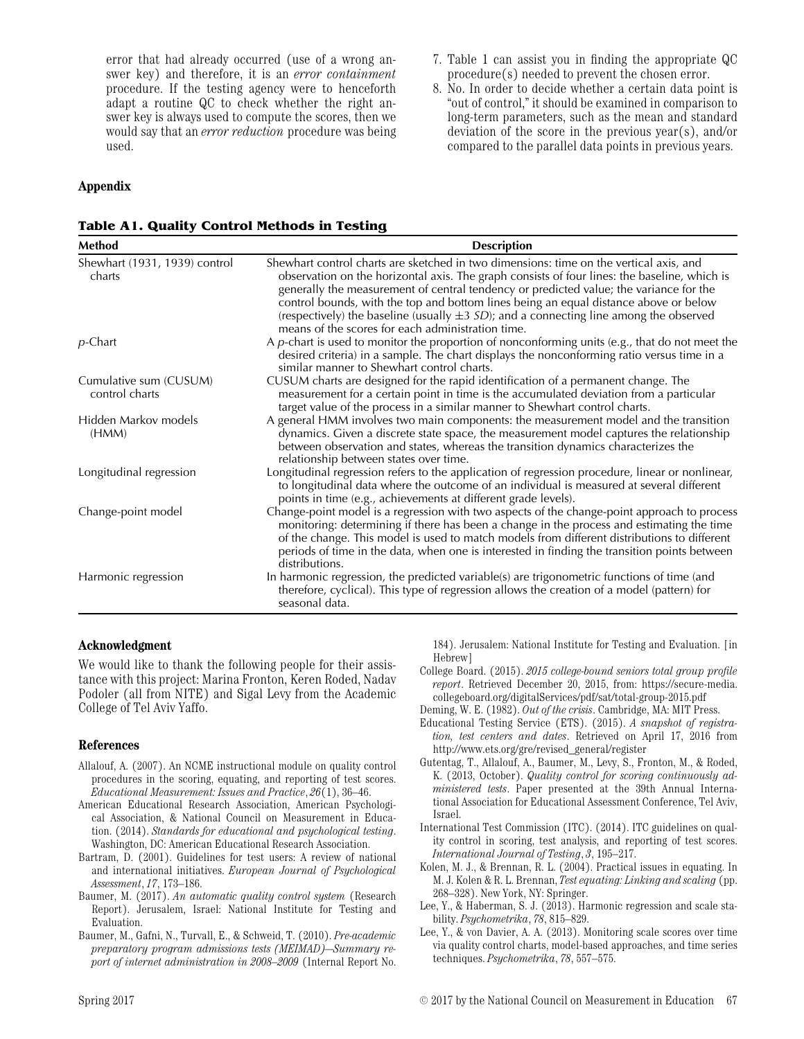error that had already occurred (use of a wrong answer key) and therefore, it is an *error containment* procedure. If the testing agency were to henceforth adapt a routine QC to check whether the right answer key is always used to compute the scores, then we would say that an *error reduction* procedure was being used.

#### **Appendix**

#### **Table A1. Quality Control Methods in Testing**

- 7. Table 1 can assist you in finding the appropriate QC procedure(s) needed to prevent the chosen error.
- 8. No. In order to decide whether a certain data point is "out of control," it should be examined in comparison to long-term parameters, such as the mean and standard deviation of the score in the previous year(s), and/or compared to the parallel data points in previous years.

| Method                                   | <b>Description</b>                                                                                                                                                                                                                                                                                                                                                                                                                                                                                                          |
|------------------------------------------|-----------------------------------------------------------------------------------------------------------------------------------------------------------------------------------------------------------------------------------------------------------------------------------------------------------------------------------------------------------------------------------------------------------------------------------------------------------------------------------------------------------------------------|
| Shewhart (1931, 1939) control<br>charts  | Shewhart control charts are sketched in two dimensions: time on the vertical axis, and<br>observation on the horizontal axis. The graph consists of four lines: the baseline, which is<br>generally the measurement of central tendency or predicted value; the variance for the<br>control bounds, with the top and bottom lines being an equal distance above or below<br>(respectively) the baseline (usually $\pm 3$ SD); and a connecting line among the observed<br>means of the scores for each administration time. |
| $p$ -Chart                               | A p-chart is used to monitor the proportion of nonconforming units (e.g., that do not meet the<br>desired criteria) in a sample. The chart displays the nonconforming ratio versus time in a<br>similar manner to Shewhart control charts.                                                                                                                                                                                                                                                                                  |
| Cumulative sum (CUSUM)<br>control charts | CUSUM charts are designed for the rapid identification of a permanent change. The<br>measurement for a certain point in time is the accumulated deviation from a particular<br>target value of the process in a similar manner to Shewhart control charts.                                                                                                                                                                                                                                                                  |
| Hidden Markov models<br>(HMM)            | A general HMM involves two main components: the measurement model and the transition<br>dynamics. Given a discrete state space, the measurement model captures the relationship<br>between observation and states, whereas the transition dynamics characterizes the<br>relationship between states over time.                                                                                                                                                                                                              |
| Longitudinal regression                  | Longitudinal regression refers to the application of regression procedure, linear or nonlinear,<br>to longitudinal data where the outcome of an individual is measured at several different<br>points in time (e.g., achievements at different grade levels).                                                                                                                                                                                                                                                               |
| Change-point model                       | Change-point model is a regression with two aspects of the change-point approach to process<br>monitoring: determining if there has been a change in the process and estimating the time<br>of the change. This model is used to match models from different distributions to different<br>periods of time in the data, when one is interested in finding the transition points between<br>distributions.                                                                                                                   |
| Harmonic regression                      | In harmonic regression, the predicted variable(s) are trigonometric functions of time (and<br>therefore, cyclical). This type of regression allows the creation of a model (pattern) for<br>seasonal data.                                                                                                                                                                                                                                                                                                                  |

#### **Acknowledgment**

We would like to thank the following people for their assistance with this project: Marina Fronton, Keren Roded, Nadav Podoler (all from NITE) and Sigal Levy from the Academic College of Tel Aviv Yaffo.

#### **References**

- Allalouf, A. (2007). An NCME instructional module on quality control procedures in the scoring, equating, and reporting of test scores. *Educational Measurement: Issues and Practice*, *26*(1), 36–46.
- American Educational Research Association, American Psychological Association, & National Council on Measurement in Education. (2014). *Standards for educational and psychological testing*. Washington, DC: American Educational Research Association.
- Bartram, D. (2001). Guidelines for test users: A review of national and international initiatives. *European Journal of Psychological Assessment*, *17*, 173–186.
- Baumer, M. (2017). *An automatic quality control system* (Research Report). Jerusalem, Israel: National Institute for Testing and Evaluation.
- Baumer, M., Gafni, N., Turvall, E., & Schweid, T. (2010). *Pre-academic preparatory program admissions tests (MEIMAD)–-Summary report of internet administration in 2008–2009* (Internal Report No.

184). Jerusalem: National Institute for Testing and Evaluation. [in Hebrew]

- College Board. (2015). *2015 college-bound seniors total group profile report*. Retrieved December 20, 2015, from: [https://secure-media.](https://secure-media.collegeboard.org/digitalServices/pdf/sat/total-group-2015.pdf) [collegeboard.org/digitalServices/pdf/sat/total-group-2015.pdf](https://secure-media.collegeboard.org/digitalServices/pdf/sat/total-group-2015.pdf)
- Deming, W. E. (1982). *Out of the crisis*. Cambridge, MA: MIT Press.
- Educational Testing Service (ETS). (2015). *A snapshot of registration, test centers and dates*. Retrieved on April 17, 2016 from [http://www.ets.org/gre/revised\\_general/register](http://www.ets.org/gre/revised_general/register)
- Gutentag, T., Allalouf, A., Baumer, M., Levy, S., Fronton, M., & Roded, K. (2013, October). *Quality control for scoring continuously administered tests*. Paper presented at the 39th Annual International Association for Educational Assessment Conference, Tel Aviv, Israel.
- International Test Commission (ITC). (2014). ITC guidelines on quality control in scoring, test analysis, and reporting of test scores. *International Journal of Testing*, *3*, 195–217.
- Kolen, M. J., & Brennan, R. L. (2004). Practical issues in equating. In M. J. Kolen & R. L. Brennan, *Test equating: Linking and scaling* (pp. 268–328). New York, NY: Springer.
- Lee, Y., & Haberman, S. J. (2013). Harmonic regression and scale stability. *Psychometrika*, *78*, 815–829.
- Lee, Y., & von Davier, A. A. (2013). Monitoring scale scores over time via quality control charts, model-based approaches, and time series techniques. *Psychometrika*, *78*, 557–575.